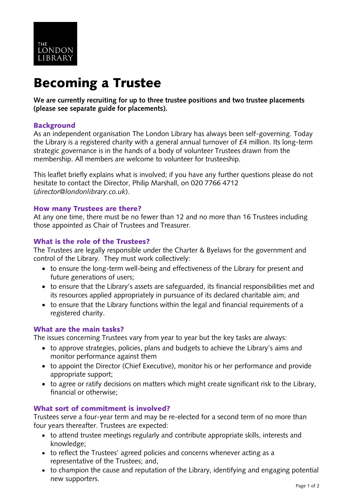

# Becoming a Trustee

**We are currently recruiting for up to three trustee positions and two trustee placements (please see separate guide for placements).**

## **Background**

As an independent organisation The London Library has always been self-governing. Today the Library is a registered charity with a general annual turnover of £4 million. Its long-term strategic governance is in the hands of a body of volunteer Trustees drawn from the membership. All members are welcome to volunteer for trusteeship.

This leaflet briefly explains what is involved; if you have any further questions please do not hesitate to contact the Director, Philip Marshall, on 020 7766 4712 (*director@londonlibrary.co.uk*).

## How many Trustees are there?

At any one time, there must be no fewer than 12 and no more than 16 Trustees including those appointed as Chair of Trustees and Treasurer.

## What is the role of the Trustees?

The Trustees are legally responsible under the Charter & Byelaws for the government and control of the Library. They must work collectively:

- to ensure the long-term well-being and effectiveness of the Library for present and future generations of users;
- to ensure that the Library's assets are safeguarded, its financial responsibilities met and its resources applied appropriately in pursuance of its declared charitable aim; and
- to ensure that the Library functions within the legal and financial requirements of a registered charity.

# What are the main tasks?

The issues concerning Trustees vary from year to year but the key tasks are always:

- to approve strategies, policies, plans and budgets to achieve the Library's aims and monitor performance against them
- to appoint the Director (Chief Executive), monitor his or her performance and provide appropriate support;
- to agree or ratify decisions on matters which might create significant risk to the Library, financial or otherwise;

# What sort of commitment is involved?

Trustees serve a four-year term and may be re-elected for a second term of no more than four years thereafter. Trustees are expected:

- to attend trustee meetings regularly and contribute appropriate skills, interests and knowledge;
- to reflect the Trustees' agreed policies and concerns whenever acting as a representative of the Trustees; and,
- to champion the cause and reputation of the Library, identifying and engaging potential new supporters.